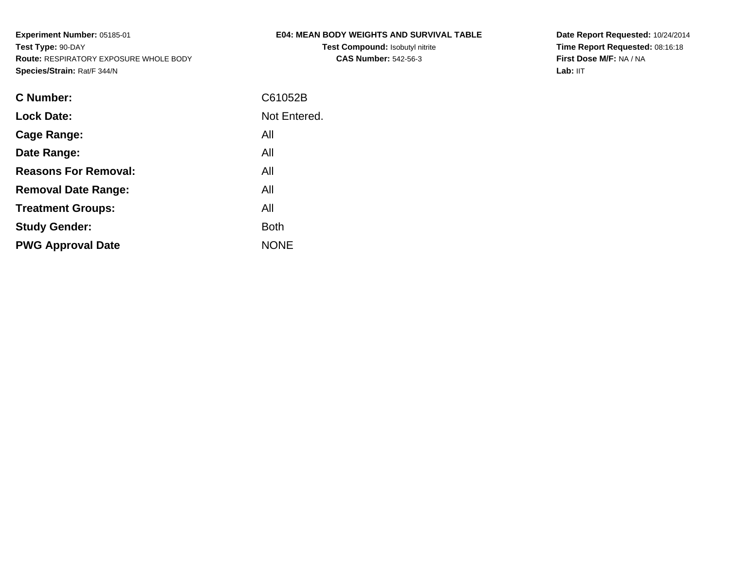## **E04: MEAN BODY WEIGHTS AND SURVIVAL TABLE**

**Test Compound:** Isobutyl nitrite**CAS Number:** 542-56-3

**Date Report Requested:** 10/24/2014 **Time Report Requested:** 08:16:18**First Dose M/F:** NA / NA**Lab:** IIT

| <b>C</b> Number:            | C61052B      |
|-----------------------------|--------------|
| <b>Lock Date:</b>           | Not Entered. |
| Cage Range:                 | All          |
| Date Range:                 | All          |
| <b>Reasons For Removal:</b> | All          |
| <b>Removal Date Range:</b>  | All          |
| <b>Treatment Groups:</b>    | All          |
| <b>Study Gender:</b>        | <b>Both</b>  |
| <b>PWG Approval Date</b>    | <b>NONE</b>  |
|                             |              |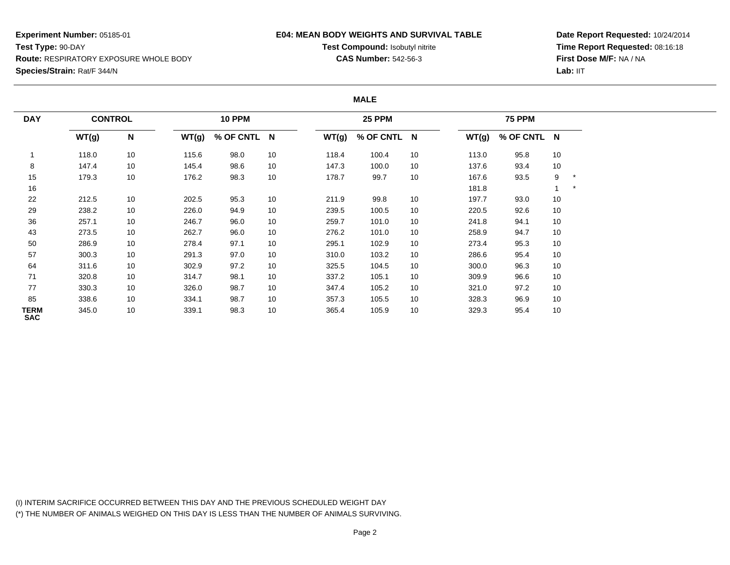### **E04: MEAN BODY WEIGHTS AND SURVIVAL TABLE**

**Test Compound:** Isobutyl nitrite**CAS Number:** 542-56-3

**Date Report Requested:** 10/24/2014**Time Report Requested:** 08:16:18**First Dose M/F:** NA / NA**Lab:** IIT

#### **MALE**

| <b>DAY</b>                | <b>CONTROL</b> |    |       |             | <b>10 PPM</b> |       |             | <b>25 PPM</b> |       | <b>75 PPM</b> |    |  |  |
|---------------------------|----------------|----|-------|-------------|---------------|-------|-------------|---------------|-------|---------------|----|--|--|
|                           | WT(g)          | N  | WT(g) | % OF CNTL N |               | WT(g) | % OF CNTL N |               | WT(g) | % OF CNTL N   |    |  |  |
|                           | 118.0          | 10 | 115.6 | 98.0        | 10            | 118.4 | 100.4       | 10            | 113.0 | 95.8          | 10 |  |  |
| 8                         | 147.4          | 10 | 145.4 | 98.6        | 10            | 147.3 | 100.0       | 10            | 137.6 | 93.4          | 10 |  |  |
| 15                        | 179.3          | 10 | 176.2 | 98.3        | 10            | 178.7 | 99.7        | 10            | 167.6 | 93.5          | 9  |  |  |
| 16                        |                |    |       |             |               |       |             |               | 181.8 |               | 1  |  |  |
| 22                        | 212.5          | 10 | 202.5 | 95.3        | 10            | 211.9 | 99.8        | 10            | 197.7 | 93.0          | 10 |  |  |
| 29                        | 238.2          | 10 | 226.0 | 94.9        | 10            | 239.5 | 100.5       | 10            | 220.5 | 92.6          | 10 |  |  |
| 36                        | 257.1          | 10 | 246.7 | 96.0        | 10            | 259.7 | 101.0       | 10            | 241.8 | 94.1          | 10 |  |  |
| 43                        | 273.5          | 10 | 262.7 | 96.0        | 10            | 276.2 | 101.0       | 10            | 258.9 | 94.7          | 10 |  |  |
| 50                        | 286.9          | 10 | 278.4 | 97.1        | 10            | 295.1 | 102.9       | 10            | 273.4 | 95.3          | 10 |  |  |
| 57                        | 300.3          | 10 | 291.3 | 97.0        | 10            | 310.0 | 103.2       | 10            | 286.6 | 95.4          | 10 |  |  |
| 64                        | 311.6          | 10 | 302.9 | 97.2        | 10            | 325.5 | 104.5       | 10            | 300.0 | 96.3          | 10 |  |  |
| 71                        | 320.8          | 10 | 314.7 | 98.1        | 10            | 337.2 | 105.1       | 10            | 309.9 | 96.6          | 10 |  |  |
| 77                        | 330.3          | 10 | 326.0 | 98.7        | 10            | 347.4 | 105.2       | 10            | 321.0 | 97.2          | 10 |  |  |
| 85                        | 338.6          | 10 | 334.1 | 98.7        | 10            | 357.3 | 105.5       | 10            | 328.3 | 96.9          | 10 |  |  |
| <b>TERM</b><br><b>SAC</b> | 345.0          | 10 | 339.1 | 98.3        | 10            | 365.4 | 105.9       | 10            | 329.3 | 95.4          | 10 |  |  |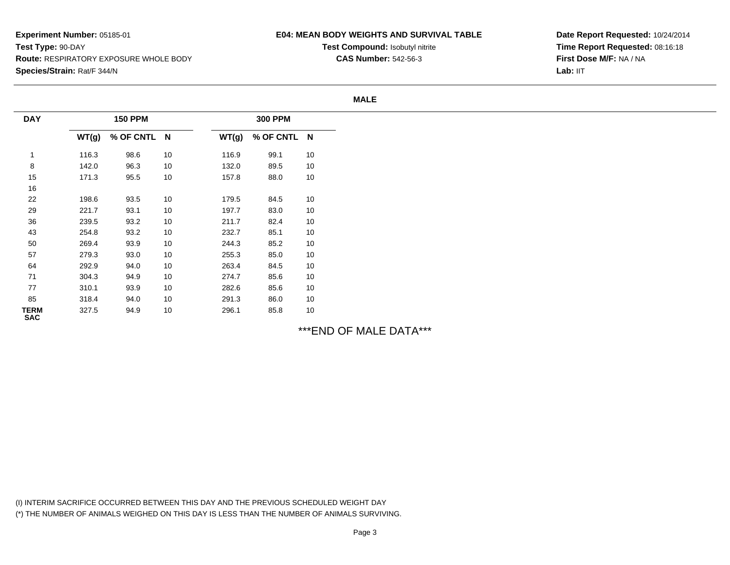## **E04: MEAN BODY WEIGHTS AND SURVIVAL TABLE**

**Test Compound:** Isobutyl nitrite**CAS Number:** 542-56-3

**Date Report Requested:** 10/24/2014**Time Report Requested:** 08:16:18**First Dose M/F:** NA / NALab: IIT

#### **MALE**

| <b>DAY</b>                |       | <b>150 PPM</b> |    |       | <b>300 PPM</b> |    |  |
|---------------------------|-------|----------------|----|-------|----------------|----|--|
|                           | WT(g) | % OF CNTL N    |    | WT(g) | % OF CNTL N    |    |  |
| 1                         | 116.3 | 98.6           | 10 | 116.9 | 99.1           | 10 |  |
| 8                         | 142.0 | 96.3           | 10 | 132.0 | 89.5           | 10 |  |
| 15                        | 171.3 | 95.5           | 10 | 157.8 | 88.0           | 10 |  |
| 16                        |       |                |    |       |                |    |  |
| 22                        | 198.6 | 93.5           | 10 | 179.5 | 84.5           | 10 |  |
| 29                        | 221.7 | 93.1           | 10 | 197.7 | 83.0           | 10 |  |
| 36                        | 239.5 | 93.2           | 10 | 211.7 | 82.4           | 10 |  |
| 43                        | 254.8 | 93.2           | 10 | 232.7 | 85.1           | 10 |  |
| 50                        | 269.4 | 93.9           | 10 | 244.3 | 85.2           | 10 |  |
| 57                        | 279.3 | 93.0           | 10 | 255.3 | 85.0           | 10 |  |
| 64                        | 292.9 | 94.0           | 10 | 263.4 | 84.5           | 10 |  |
| $71$                      | 304.3 | 94.9           | 10 | 274.7 | 85.6           | 10 |  |
| 77                        | 310.1 | 93.9           | 10 | 282.6 | 85.6           | 10 |  |
| 85                        | 318.4 | 94.0           | 10 | 291.3 | 86.0           | 10 |  |
| <b>TERM</b><br><b>SAC</b> | 327.5 | 94.9           | 10 | 296.1 | 85.8           | 10 |  |

\*\*\*END OF MALE DATA\*\*\*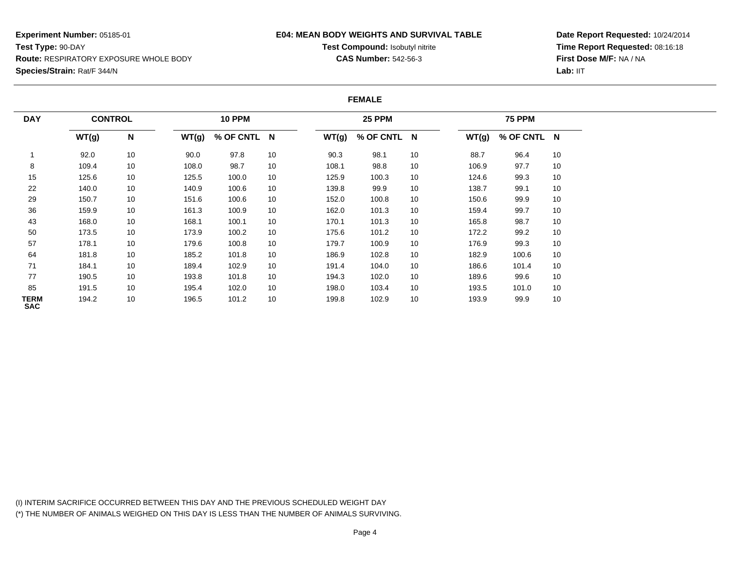#### **E04: MEAN BODY WEIGHTS AND SURVIVAL TABLE**

**Test Compound:** Isobutyl nitrite**CAS Number:** 542-56-3

**Date Report Requested:** 10/24/2014**Time Report Requested:** 08:16:18**First Dose M/F:** NA / NA**Lab:** IIT

#### **FEMALE**

| <b>DAY</b>                | <b>CONTROL</b> |      |       | <b>10 PPM</b> |    |       | <b>25 PPM</b> |    |       | <b>75 PPM</b> |    |
|---------------------------|----------------|------|-------|---------------|----|-------|---------------|----|-------|---------------|----|
|                           | WT(g)          | N    | WT(g) | % OF CNTL N   |    | WT(g) | % OF CNTL N   |    | WT(g) | % OF CNTL N   |    |
|                           | 92.0           | $10$ | 90.0  | 97.8          | 10 | 90.3  | 98.1          | 10 | 88.7  | 96.4          | 10 |
| 8                         | 109.4          | 10   | 108.0 | 98.7          | 10 | 108.1 | 98.8          | 10 | 106.9 | 97.7          | 10 |
| 15                        | 125.6          | 10   | 125.5 | 100.0         | 10 | 125.9 | 100.3         | 10 | 124.6 | 99.3          | 10 |
| 22                        | 140.0          | 10   | 140.9 | 100.6         | 10 | 139.8 | 99.9          | 10 | 138.7 | 99.1          | 10 |
| 29                        | 150.7          | 10   | 151.6 | 100.6         | 10 | 152.0 | 100.8         | 10 | 150.6 | 99.9          | 10 |
| 36                        | 159.9          | 10   | 161.3 | 100.9         | 10 | 162.0 | 101.3         | 10 | 159.4 | 99.7          | 10 |
| 43                        | 168.0          | 10   | 168.1 | 100.1         | 10 | 170.1 | 101.3         | 10 | 165.8 | 98.7          | 10 |
| 50                        | 173.5          | 10   | 173.9 | 100.2         | 10 | 175.6 | 101.2         | 10 | 172.2 | 99.2          | 10 |
| 57                        | 178.1          | 10   | 179.6 | 100.8         | 10 | 179.7 | 100.9         | 10 | 176.9 | 99.3          | 10 |
| 64                        | 181.8          | 10   | 185.2 | 101.8         | 10 | 186.9 | 102.8         | 10 | 182.9 | 100.6         | 10 |
| 71                        | 184.1          | 10   | 189.4 | 102.9         | 10 | 191.4 | 104.0         | 10 | 186.6 | 101.4         | 10 |
| 77                        | 190.5          | 10   | 193.8 | 101.8         | 10 | 194.3 | 102.0         | 10 | 189.6 | 99.6          | 10 |
| 85                        | 191.5          | 10   | 195.4 | 102.0         | 10 | 198.0 | 103.4         | 10 | 193.5 | 101.0         | 10 |
| <b>TERM</b><br><b>SAC</b> | 194.2          | 10   | 196.5 | 101.2         | 10 | 199.8 | 102.9         | 10 | 193.9 | 99.9          | 10 |